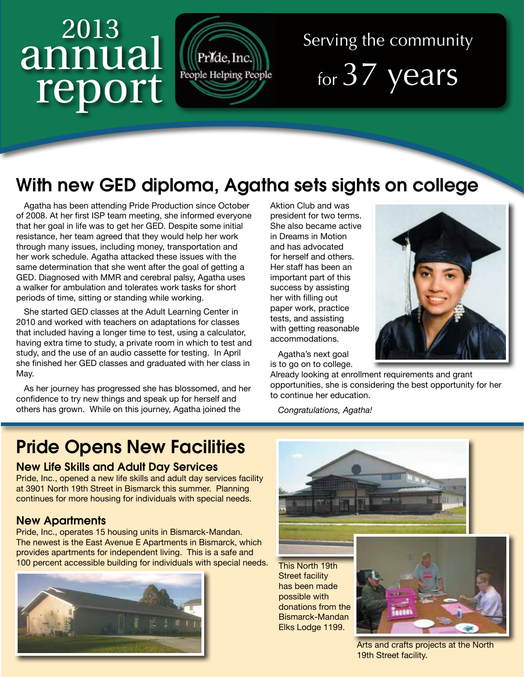# <sup>2013</sup> annual report



## Serving the community for 37 years

### With new GED diploma, Agatha sets sights on college

Agatha has been attending Pride Production since October of 2008. At her first ISP team meeting, she informed everyone that her goal in life was to get her GED. Despite some initial resistance, her team agreed that they would help her work through many issues, including money, transportation and her work schedule. Agatha attacked these issues with the same determination that she went after the goal of getting a GED. Diagnosed with MMR and cerebral palsy, Agatha uses a walker for ambulation and tolerates work tasks for short periods of time, sitting or standing while working.

She started GED classes at the Adult Learning Center in 2010 and worked with teachers on adaptations for classes that included having a longer time to test, using a calculator, having extra time to study, a private room in which to test and study, and the use of an audio cassette for testing. In April she finished her GED classes and graduated with her class in May.

As her journey has progressed she has blossomed, and her confidence to try new things and speak up for herself and others has grown. While on this journey, Agatha joined the

Aktion Club and was president for two terms. She also became active in Dreams in Motion and has advocated for herself and others. Her staff has been an important part of this success by assisting her with filling out paper work, practice tests, and assisting with getting reasonable accommodations.

Agatha's next goal is to go on to college.

Already looking at enrollment requirements and grant opportunities, she is considering the best opportunity for her to continue her education.

*Congratulations, Agatha!*

#### Pride Opens New Facilities

#### New Life Skills and Adult Day Services

Pride, Inc., opened a new life skills and adult day services facility at 3901 North 19th Street in Bismarck this summer. Planning continues for more housing for individuals with special needs.

#### New Apartments

Pride, Inc., operates 15 housing units in Bismarck-Mandan. The newest is the East Avenue E Apartments in Bismarck, which provides apartments for independent living. This is a safe and 100 percent accessible building for individuals with special needs.





This North 19th Street facility has been made possible with donations from the Bismarck-Mandan Elks Lodge 1199.



Arts and crafts projects at the North 19th Street facility.

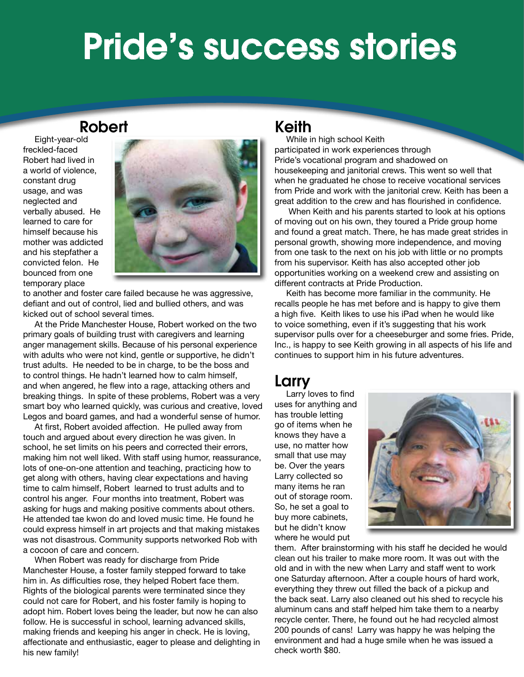## Pride's success stories

#### Robert

Eight-year-old freckled-faced Robert had lived in a world of violence, constant drug usage, and was neglected and verbally abused. He learned to care for himself because his mother was addicted and his stepfather a convicted felon. He bounced from one temporary place



to another and foster care failed because he was aggressive, defiant and out of control, lied and bullied others, and was kicked out of school several times.

At the Pride Manchester House, Robert worked on the two primary goals of building trust with caregivers and learning anger management skills. Because of his personal experience with adults who were not kind, gentle or supportive, he didn't trust adults. He needed to be in charge, to be the boss and to control things. He hadn't learned how to calm himself, and when angered, he flew into a rage, attacking others and breaking things. In spite of these problems, Robert was a very smart boy who learned quickly, was curious and creative, loved Legos and board games, and had a wonderful sense of humor.

At first, Robert avoided affection. He pulled away from touch and argued about every direction he was given. In school, he set limits on his peers and corrected their errors, making him not well liked. With staff using humor, reassurance, lots of one-on-one attention and teaching, practicing how to get along with others, having clear expectations and having time to calm himself, Robert learned to trust adults and to control his anger. Four months into treatment, Robert was asking for hugs and making positive comments about others. He attended tae kwon do and loved music time. He found he could express himself in art projects and that making mistakes was not disastrous. Community supports networked Rob with a cocoon of care and concern.

When Robert was ready for discharge from Pride Manchester House, a foster family stepped forward to take him in. As difficulties rose, they helped Robert face them. Rights of the biological parents were terminated since they could not care for Robert, and his foster family is hoping to adopt him. Robert loves being the leader, but now he can also follow. He is successful in school, learning advanced skills, making friends and keeping his anger in check. He is loving, affectionate and enthusiastic, eager to please and delighting in his new family!

#### Keith

While in high school Keith participated in work experiences through Pride's vocational program and shadowed on housekeeping and janitorial crews. This went so well that when he graduated he chose to receive vocational services from Pride and work with the janitorial crew. Keith has been a great addition to the crew and has flourished in confidence.

 When Keith and his parents started to look at his options of moving out on his own, they toured a Pride group home and found a great match. There, he has made great strides in personal growth, showing more independence, and moving from one task to the next on his job with little or no prompts from his supervisor. Keith has also accepted other job opportunities working on a weekend crew and assisting on different contracts at Pride Production.

Keith has become more familiar in the community. He recalls people he has met before and is happy to give them a high five. Keith likes to use his iPad when he would like to voice something, even if it's suggesting that his work supervisor pulls over for a cheeseburger and some fries. Pride, Inc., is happy to see Keith growing in all aspects of his life and continues to support him in his future adventures.

#### Larry

Larry loves to find uses for anything and has trouble letting go of items when he knows they have a use, no matter how small that use may be. Over the years Larry collected so many items he ran out of storage room. So, he set a goal to buy more cabinets, but he didn't know where he would put



them. After brainstorming with his staff he decided he would clean out his trailer to make more room. It was out with the old and in with the new when Larry and staff went to work one Saturday afternoon. After a couple hours of hard work, everything they threw out filled the back of a pickup and the back seat. Larry also cleaned out his shed to recycle his aluminum cans and staff helped him take them to a nearby recycle center. There, he found out he had recycled almost 200 pounds of cans! Larry was happy he was helping the environment and had a huge smile when he was issued a check worth \$80.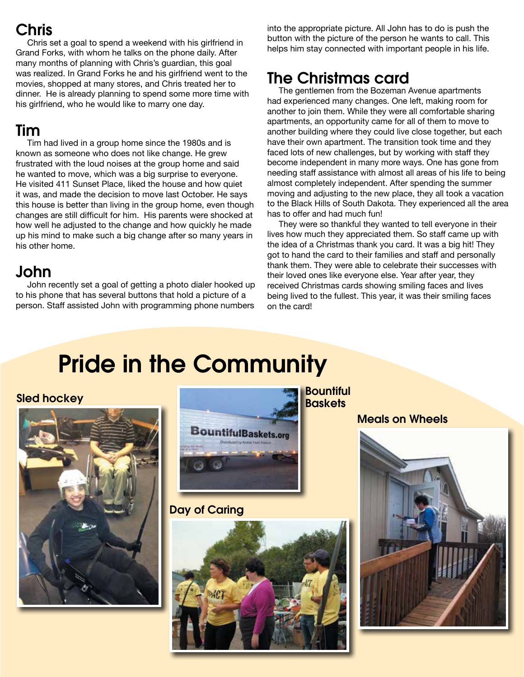#### Chris

Chris set a goal to spend a weekend with his girlfriend in Grand Forks, with whom he talks on the phone daily. After many months of planning with Chris's guardian, this goal was realized. In Grand Forks he and his girlfriend went to the movies, shopped at many stores, and Chris treated her to dinner. He is already planning to spend some more time with his girlfriend, who he would like to marry one day.

#### Tim

Tim had lived in a group home since the 1980s and is known as someone who does not like change. He grew frustrated with the loud noises at the group home and said he wanted to move, which was a big surprise to everyone. He visited 411 Sunset Place, liked the house and how quiet it was, and made the decision to move last October. He says this house is better than living in the group home, even though changes are still difficult for him. His parents were shocked at how well he adjusted to the change and how quickly he made up his mind to make such a big change after so many years in his other home.

#### John

John recently set a goal of getting a photo dialer hooked up to his phone that has several buttons that hold a picture of a person. Staff assisted John with programming phone numbers

into the appropriate picture. All John has to do is push the button with the picture of the person he wants to call. This helps him stay connected with important people in his life.

#### The Christmas card

The gentlemen from the Bozeman Avenue apartments had experienced many changes. One left, making room for another to join them. While they were all comfortable sharing apartments, an opportunity came for all of them to move to another building where they could live close together, but each have their own apartment. The transition took time and they faced lots of new challenges, but by working with staff they become independent in many more ways. One has gone from needing staff assistance with almost all areas of his life to being almost completely independent. After spending the summer moving and adjusting to the new place, they all took a vacation to the Black Hills of South Dakota. They experienced all the area has to offer and had much fun!

They were so thankful they wanted to tell everyone in their lives how much they appreciated them. So staff came up with the idea of a Christmas thank you card. It was a big hit! They got to hand the card to their families and staff and personally thank them. They were able to celebrate their successes with their loved ones like everyone else. Year after year, they received Christmas cards showing smiling faces and lives being lived to the fullest. This year, it was their smiling faces on the card!

## Pride in the Community



**Sled hockey and the set of the set of the set of the set of the set of the set of the set of the set of the set of the set of the set of the set of the set of the set of the set of the set of the set of the set of the set BountifulBaskets.org** 

Day of Caring



Meals on Wheels

Bountiful

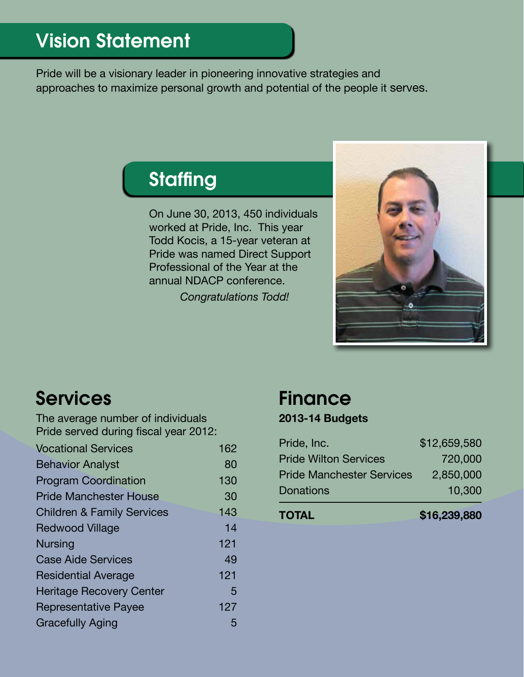Pride will be a visionary leader in pioneering innovative strategies and approaches to maximize personal growth and potential of the people it serves.

## **Staffing**

On June 30, 2013, 450 individuals worked at Pride, Inc. This year Todd Kocis, a 15-year veteran at Pride was named Direct Support Professional of the Year at the annual NDACP conference.

*Congratulations Todd!*



### Services

The average number of individuals Pride served during fiscal year 2012:

| <b>Vocational Services</b>            | 162 |
|---------------------------------------|-----|
| <b>Behavior Analyst</b>               | 80  |
| <b>Program Coordination</b>           | 130 |
| <b>Pride Manchester House</b>         | 30  |
| <b>Children &amp; Family Services</b> | 143 |
| <b>Redwood Village</b>                | 14  |
| <b>Nursing</b>                        | 121 |
| <b>Case Aide Services</b>             | 49  |
| <b>Residential Average</b>            | 121 |
| <b>Heritage Recovery Center</b>       | 5   |
| <b>Representative Payee</b>           | 127 |
| <b>Gracefully Aging</b>               | 5   |

### **Finance**

#### **2013-14 Budgets**

| <b>TOTAL</b>                     | \$16,239,880 |
|----------------------------------|--------------|
| <b>Donations</b>                 | 10,300       |
| <b>Pride Manchester Services</b> | 2,850,000    |
| <b>Pride Wilton Services</b>     | 720,000      |
| Pride, Inc.                      | \$12,659,580 |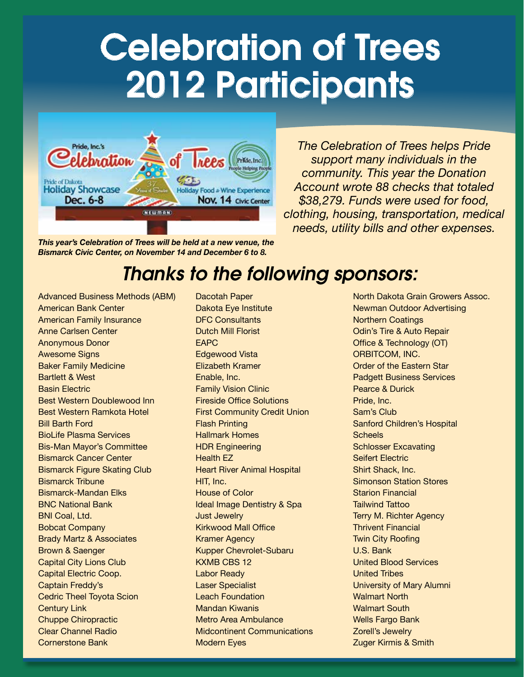## Celebration of Trees 2012 Participants



*This year's Celebration of Trees will be held at a new venue, the Bismarck Civic Center, on November 14 and December 6 to 8.*

*The Celebration of Trees helps Pride support many individuals in the community. This year the Donation Account wrote 88 checks that totaled \$38,279. Funds were used for food, clothing, housing, transportation, medical needs, utility bills and other expenses.*

## *Thanks to the following sponsors:*

Advanced Business Methods (ABM) American Bank Center American Family Insurance Anne Carlsen Center Anonymous Donor Awesome Signs Baker Family Medicine Bartlett & West Basin Electric Best Western Doublewood Inn Best Western Ramkota Hotel Bill Barth Ford BioLife Plasma Services Bis-Man Mayor's Committee Bismarck Cancer Center Bismarck Figure Skating Club Bismarck Tribune Bismarck-Mandan Elks BNC National Bank BNI Coal, Ltd. Bobcat Company Brady Martz & Associates Brown & Saenger Capital City Lions Club Capital Electric Coop. Captain Freddy's Cedric Theel Toyota Scion Century Link Chuppe Chiropractic Clear Channel Radio Cornerstone Bank

Dacotah Paper Dakota Eye Institute DFC Consultants Dutch Mill Florist EAPC Edgewood Vista Elizabeth Kramer Enable, Inc. Family Vision Clinic Fireside Office Solutions First Community Credit Union Flash Printing Hallmark Homes HDR Engineering Health EZ Heart River Animal Hospital HIT, Inc. House of Color Ideal Image Dentistry & Spa Just Jewelry Kirkwood Mall Office Kramer Agency Kupper Chevrolet-Subaru KXMB CBS 12 Labor Ready Laser Specialist Leach Foundation Mandan Kiwanis Metro Area Ambulance Midcontinent Communications Modern Eyes

North Dakota Grain Growers Assoc. Newman Outdoor Advertising Northern Coatings Odin's Tire & Auto Repair Office & Technology (OT) ORBITCOM, INC. Order of the Eastern Star Padgett Business Services Pearce & Durick Pride, Inc. Sam's Club Sanford Children's Hospital **Scheels** Schlosser Excavating Seifert Electric Shirt Shack, Inc. Simonson Station Stores Starion Financial Tailwind Tattoo Terry M. Richter Agency Thrivent Financial Twin City Roofing U.S. Bank United Blood Services United Tribes University of Mary Alumni Walmart North Walmart South Wells Fargo Bank Zorell's Jewelry Zuger Kirmis & Smith